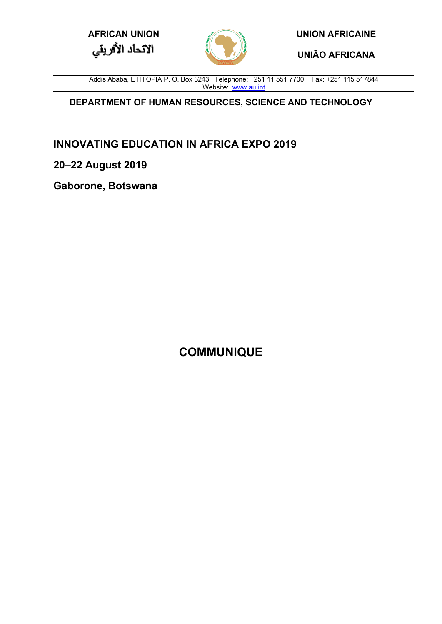**AFRICAN UNION UNION AFRICAINE**



**UNIÃO AFRICANA**

Addis Ababa, ETHIOPIA P. O. Box 3243 Telephone: +251 11 551 7700 Fax: +251 115 517844 Website: [www.au.int](http://www.au.int/)

**DEPARTMENT OF HUMAN RESOURCES, SCIENCE AND TECHNOLOGY**

**INNOVATING EDUCATION IN AFRICA EXPO 2019**

**20–22 August 2019**

**Gaborone, Botswana**

**COMMUNIQUE**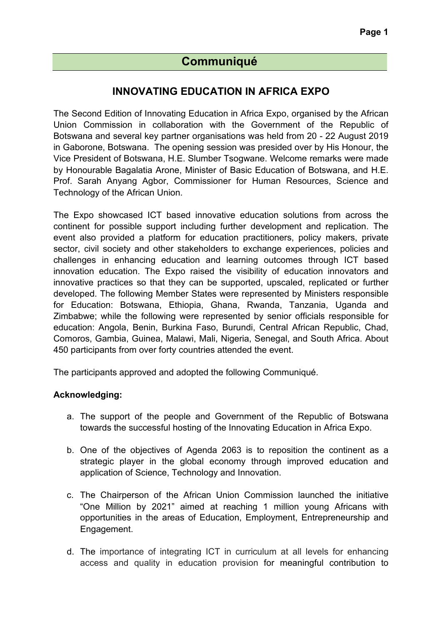# **Communiqué**

## **INNOVATING EDUCATION IN AFRICA EXPO**

The Second Edition of Innovating Education in Africa Expo, organised by the African Union Commission in collaboration with the Government of the Republic of Botswana and several key partner organisations was held from 20 - 22 August 2019 in Gaborone, Botswana. The opening session was presided over by His Honour, the Vice President of Botswana, H.E. Slumber Tsogwane. Welcome remarks were made by Honourable Bagalatia Arone, Minister of Basic Education of Botswana, and H.E. Prof. Sarah Anyang Agbor, Commissioner for Human Resources, Science and Technology of the African Union.

The Expo showcased ICT based innovative education solutions from across the continent for possible support including further development and replication. The event also provided a platform for education practitioners, policy makers, private sector, civil society and other stakeholders to exchange experiences, policies and challenges in enhancing education and learning outcomes through ICT based innovation education. The Expo raised the visibility of education innovators and innovative practices so that they can be supported, upscaled, replicated or further developed. The following Member States were represented by Ministers responsible for Education: Botswana, Ethiopia, Ghana, Rwanda, Tanzania, Uganda and Zimbabwe; while the following were represented by senior officials responsible for education: Angola, Benin, Burkina Faso, Burundi, Central African Republic, Chad, Comoros, Gambia, Guinea, Malawi, Mali, Nigeria, Senegal, and South Africa. About 450 participants from over forty countries attended the event.

The participants approved and adopted the following Communiqué.

#### **Acknowledging:**

- a. The support of the people and Government of the Republic of Botswana towards the successful hosting of the Innovating Education in Africa Expo.
- b. One of the objectives of Agenda 2063 is to reposition the continent as a strategic player in the global economy through improved education and application of Science, Technology and Innovation.
- c. The Chairperson of the African Union Commission launched the initiative "One Million by 2021" aimed at reaching 1 million young Africans with opportunities in the areas of Education, Employment, Entrepreneurship and Engagement.
- d. The importance of integrating ICT in curriculum at all levels for enhancing access and quality in education provision for meaningful contribution to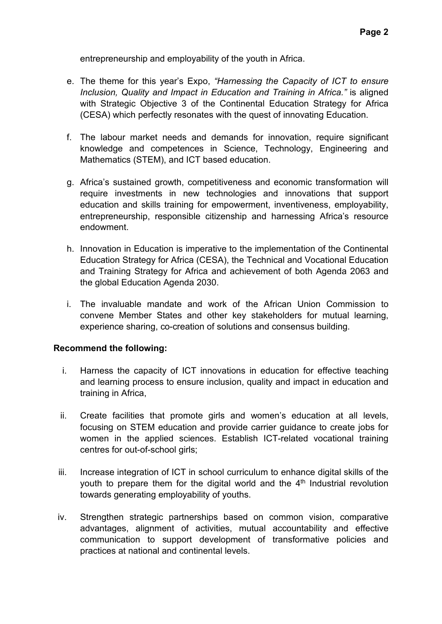entrepreneurship and employability of the youth in Africa.

- e. The theme for this year's Expo, *"Harnessing the Capacity of ICT to ensure Inclusion, Quality and Impact in Education and Training in Africa."* is aligned with Strategic Objective 3 of the Continental Education Strategy for Africa (CESA) which perfectly resonates with the quest of innovating Education.
- f. The labour market needs and demands for innovation, require significant knowledge and competences in Science, Technology, Engineering and Mathematics (STEM), and ICT based education.
- g. Africa's sustained growth, competitiveness and economic transformation will require investments in new technologies and innovations that support education and skills training for empowerment, inventiveness, employability, entrepreneurship, responsible citizenship and harnessing Africa's resource endowment.
- h. Innovation in Education is imperative to the implementation of the Continental Education Strategy for Africa (CESA), the Technical and Vocational Education and Training Strategy for Africa and achievement of both Agenda 2063 and the global Education Agenda 2030.
- i. The invaluable mandate and work of the African Union Commission to convene Member States and other key stakeholders for mutual learning, experience sharing, co-creation of solutions and consensus building.

#### **Recommend the following:**

- i. Harness the capacity of ICT innovations in education for effective teaching and learning process to ensure inclusion, quality and impact in education and training in Africa,
- ii. Create facilities that promote girls and women's education at all levels, focusing on STEM education and provide carrier guidance to create jobs for women in the applied sciences. Establish ICT-related vocational training centres for out-of-school girls;
- iii. Increase integration of ICT in school curriculum to enhance digital skills of the youth to prepare them for the digital world and the  $4<sup>th</sup>$  Industrial revolution towards generating employability of youths.
- iv. Strengthen strategic partnerships based on common vision, comparative advantages, alignment of activities, mutual accountability and effective communication to support development of transformative policies and practices at national and continental levels.